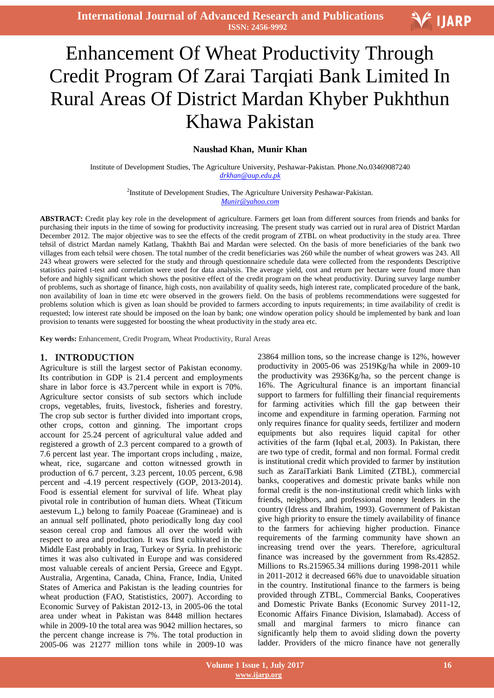# V IJARP

# I Enhancement Of Wheat Productivity Through Credit Program Of Zarai Tarqiati Bank Limited In Rural Areas Of District Mardan Khyber Pukhthun Khawa Pakistan

## **Naushad Khan, Munir Khan**

Institute of Development Studies, The Agriculture University, Peshawar-Pakistan. Phone.No.03469087240 *drkhan@aup.edu.pk*

> <sup>2</sup>Institute of Development Studies, The Agriculture University Peshawar-Pakistan. *Munir@yahoo.com*

**ABSTRACT:** Credit play key role in the development of agriculture. Farmers get loan from different sources from friends and banks for purchasing their inputs in the time of sowing for productivity increasing. The present study was carried out in rural area of District Mardan December 2012. The major objective was to see the effects of the credit program of ZTBL on wheat productivity in the study area. Three tehsil of district Mardan namely Katlang, Thakhth Bai and Mardan were selected. On the basis of more beneficiaries of the bank two villages from each tehsil were chosen. The total number of the credit beneficiaries was 260 while the number of wheat growers was 243. All 243 wheat growers were selected for the study and through questionnaire schedule data were collected from the respondents Descriptive statistics paired t-test and correlation were used for data analysis. The average yield, cost and return per hectare were found more than before and highly significant which shows the positive effect of the credit program on the wheat productivity. During survey large number of problems, such as shortage of finance, high costs, non availability of quality seeds, high interest rate, complicated procedure of the bank, non availability of loan in time etc were observed in the growers field. On the basis of problems recommendations were suggested for problems solution which is given as loan should be provided to farmers according to inputs requirements; in time availability of credit is requested; low interest rate should be imposed on the loan by bank; one window operation policy should be implemented by bank and loan provision to tenants were suggested for boosting the wheat productivity in the study area etc.

**Key words:** Enhancement, Credit Program, Wheat Productivity, Rural Areas

#### **1. INTRODUCTION**

Agriculture is still the largest sector of Pakistan economy. Its contribution in GDP is 21.4 percent and employments share in labor force is 43.7percent while in export is 70%. Agriculture sector consists of sub sectors which include crops, vegetables, fruits, livestock, fisheries and forestry. The crop sub sector is further divided into important crops, other crops, cotton and ginning. The important crops account for 25.24 percent of agricultural value added and registered a growth of 2.3 percent compared to a growth of 7.6 percent last year. The important crops including , maize, wheat, rice, sugarcane and cotton witnessed growth in production of 6.7 percent, 3.23 percent, 10.05 percent, 6.98 percent and -4.19 percent respectively (GOP, 2013-2014). Food is essential element for survival of life. Wheat play pivotal role in contribution of human diets. Wheat (Titicum aestevum L,) belong to family Poaceae (Gramineae) and is an annual self pollinated, photo periodically long day cool season cereal crop and famous all over the world with respect to area and production. It was first cultivated in the Middle East probably in Iraq, Turkey or Syria. In prehistoric times it was also cultivated in Europe and was considered most valuable cereals of ancient Persia, Greece and Egypt. Australia, Argentina, Canada, China, France, India, United States of America and Pakistan is the leading countries for wheat production (FAO, Statististics, 2007). According to Economic Survey of Pakistan 2012-13, in 2005-06 the total area under wheat in Pakistan was 8448 million hectares while in 2009-10 the total area was 9042 million hectares, so the percent change increase is 7%. The total production in 2005-06 was 21277 million tons while in 2009-10 was

23864 million tons, so the increase change is 12%, however productivity in 2005-06 was 2519Kg/ha while in 2009-10 the productivity was 2936Kg/ha, so the percent change is 16%. The Agricultural finance is an important financial support to farmers for fulfilling their financial requirements for farming activities which fill the gap between their income and expenditure in farming operation. Farming not only requires finance for quality seeds, fertilizer and modern equipments but also requires liquid capital for other activities of the farm (Iqbal et.al, 2003). In Pakistan, there are two type of credit, formal and non formal. Formal credit is institutional credit which provided to farmer by institution such as ZaraiTarkiati Bank Limited (ZTBL), commercial banks, cooperatives and domestic private banks while non formal credit is the non-institutional credit which links with friends, neighbors, and professional money lenders in the country (Idress and Ibrahim, 1993). Government of Pakistan give high priority to ensure the timely availability of finance to the farmers for achieving higher production. Finance requirements of the farming community have shown an increasing trend over the years. Therefore, agricultural finance was increased by the government from Rs.42852. Millions to Rs.215965.34 millions during 1998-2011 while in 2011-2012 it decreased 66% due to unavoidable situation in the country. Institutional finance to the farmers is being provided through ZTBL, Commercial Banks, Cooperatives and Domestic Private Banks (Economic Survey 2011-12, Economic Affairs Finance Division, Islamabad). Access of small and marginal farmers to micro finance can significantly help them to avoid sliding down the poverty ladder. Providers of the micro finance have not generally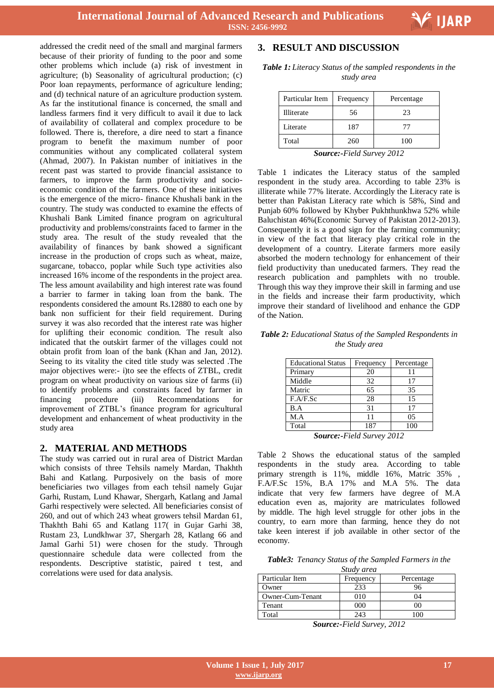addressed the credit need of the small and marginal farmers because of their priority of funding to the poor and some other problems which include (a) risk of investment in agriculture; (b) Seasonality of agricultural production; (c) Poor loan repayments, performance of agriculture lending; and (d) technical nature of an agriculture production system. As far the institutional finance is concerned, the small and landless farmers find it very difficult to avail it due to lack of availability of collateral and complex procedure to be followed. There is, therefore, a dire need to start a finance program to benefit the maximum number of poor communities without any complicated collateral system (Ahmad, 2007). In Pakistan number of initiatives in the recent past was started to provide financial assistance to farmers, to improve the farm productivity and socioeconomic condition of the farmers. One of these initiatives is the emergence of the micro- finance Khushali bank in the country. The study was conducted to examine the effects of Khushali Bank Limited finance program on agricultural productivity and problems/constraints faced to farmer in the study area. The result of the study revealed that the availability of finances by bank showed a significant increase in the production of crops such as wheat, maize, sugarcane, tobacco, poplar while Such type activities also increased 16% income of the respondents in the project area. The less amount availability and high interest rate was found a barrier to farmer in taking loan from the bank. The respondents considered the amount Rs.12880 to each one by bank non sufficient for their field requirement. During survey it was also recorded that the interest rate was higher for uplifting their economic condition. The result also indicated that the outskirt farmer of the villages could not obtain profit from loan of the bank (Khan and Jan, 2012). Seeing to its vitality the cited title study was selected .The major objectives were:- i)to see the effects of ZTBL, credit program on wheat productivity on various size of farms (ii) to identify problems and constraints faced by farmer in financing procedure (iii) Recommendations for improvement of ZTBL's finance program for agricultural development and enhancement of wheat productivity in the study area

### **2. MATERIAL AND METHODS**

The study was carried out in rural area of District Mardan which consists of three Tehsils namely Mardan, Thakhth Bahi and Katlang. Purposively on the basis of more beneficiaries two villages from each tehsil namely Gujar Garhi, Rustam, Lund Khawar, Shergarh, Katlang and Jamal Garhi respectively were selected. All beneficiaries consist of 260, and out of which 243 wheat growers tehsil Mardan 61, Thakhth Bahi 65 and Katlang 117( in Gujar Garhi 38, Rustam 23, Lundkhwar 37, Shergarh 28, Katlang 66 and Jamal Garhi 51) were chosen for the study. Through questionnaire schedule data were collected from the respondents. Descriptive statistic, paired t test, and correlations were used for data analysis.

# **3. RESULT AND DISCUSSION**

*Table 1:Literacy Status of the sampled respondents in the study area*

| Particular Item                                                               | Frequency | Percentage |  |  |
|-------------------------------------------------------------------------------|-----------|------------|--|--|
| <b>Illiterate</b>                                                             | 56        | 23         |  |  |
| Literate                                                                      | 187       | 77         |  |  |
| Total                                                                         | 260       | 100        |  |  |
| $S_{\alpha\mu\nu\rho\alpha\alpha}$ , Eigld $S_{\mu\nu\rho\alpha\beta}$ , 2012 |           |            |  |  |

*Source:-Field Survey 2012*

Table 1 indicates the Literacy status of the sampled respondent in the study area. According to table 23% is illiterate while 77% literate. Accordingly the Literacy rate is better than Pakistan Literacy rate which is 58%, Sind and Punjab 60% followed by Khyber Pukhthunkhwa 52% while Baluchistan 46%(Economic Survey of Pakistan 2012-2013). Consequently it is a good sign for the farming community; in view of the fact that literacy play critical role in the development of a country. Literate farmers more easily absorbed the modern technology for enhancement of their field productivity than uneducated farmers. They read the research publication and pamphlets with no trouble. Through this way they improve their skill in farming and use in the fields and increase their farm productivity, which improve their standard of livelihood and enhance the GDP of the Nation.

#### *Table 2: Educational Status of the Sampled Respondents in the Study area*

| <b>Educational Status</b> | Frequency | Percentage |
|---------------------------|-----------|------------|
| Primary                   | 20        |            |
| Middle                    | 32        | 17         |
| Matric                    | 65        | 35         |
| F.A/F.Sc                  | 28        | 15         |
| B.A                       | 31        | 17         |
| M.A                       | 11        | 05         |
| Total                     | 187       | 100        |

*Source:-Field Survey 2012*

Table 2 Shows the educational status of the sampled respondents in the study area. According to table primary strength is 11%, middle 16%, Matric 35% , F.A/F.Sc 15%, B.A 17% and M.A 5%. The data indicate that very few farmers have degree of M.A education even as, majority are matriculates followed by middle. The high level struggle for other jobs in the country, to earn more than farming, hence they do not take keen interest if job available in other sector of the economy.

*Table3: Tenancy Status of the Sampled Farmers in the* 

| Study area                                 |     |         |  |  |  |  |
|--------------------------------------------|-----|---------|--|--|--|--|
| Particular Item<br>Frequency<br>Percentage |     |         |  |  |  |  |
| Owner                                      | 233 | 96      |  |  |  |  |
| Owner-Cum-Tenant                           | 910 | 04      |  |  |  |  |
| Tenant                                     | 000 |         |  |  |  |  |
| Total                                      | 243 | $100 -$ |  |  |  |  |

*Source:-Field Survey, 2012*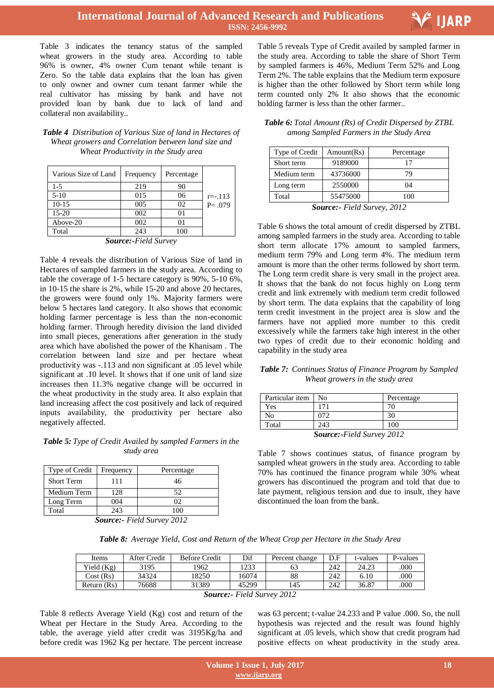

# **International Journal of Advanced Research and Publications ISSN: 2456-9992**

Table 3 indicates the tenancy status of the sampled wheat growers in the study area. According to table 96% is owner, 4% owner Cum tenant while tenant is Zero. So the table data explains that the loan has given to only owner and owner cum tenant farmer while the real cultivator has missing by bank and have not provided loan by bank due to lack of land and collateral non availability..

| <b>Table 4</b> Distribution of Various Size of land in Hectares of |
|--------------------------------------------------------------------|
| Wheat growers and Correlation between land size and                |
| Wheat Productivity in the Study area                               |

| Various Size of Land | Frequency | Percentage |            |
|----------------------|-----------|------------|------------|
| $1-5$                | 219       | 90         |            |
| $5-10$               | 015       | 06         | $r = -113$ |
| $10-15$              | 005       | 02         | $P = .079$ |
| $15 - 20$            | 002       | 01         |            |
| Above-20             | 002       | 01         |            |
| Total                | 243       | 100        |            |
|                      |           |            |            |

*Source:-Field Survey*

Table 4 reveals the distribution of Various Size of land in Hectares of sampled farmers in the study area. According to table the coverage of 1-5 hectare category is 90%, 5-10 6%, in 10-15 the share is 2%, while 15-20 and above 20 hectares, the growers were found only 1%. Majority farmers were below 5 hectares land category. It also shows that economic holding farmer percentage is less than the non-economic holding farmer. Through heredity division the land divided into small pieces, generations after generation in the study area which have abolished the power of the Khanisam . The correlation between land size and per hectare wheat productivity was -.113 and non significant at .05 level while significant at .10 level. It shows that if one unit of land size increases then 11.3% negative change will be occurred in the wheat productivity in the study area. It also explain that land increasing affect the cost positively and lack of required inputs availability, the productivity per hectare also negatively affected.

#### *Table 5:Type of Credit Availed by sampled Farmers in the study area*

| Type of Credit    | Frequency | Percentage |
|-------------------|-----------|------------|
| <b>Short Term</b> | 111       | 46         |
| Medium Term       | 128       | 52         |
| Long Term         | 004       |            |
| Total             | 243       |            |

*Source:- Field Survey 2012*

 Table 5 reveals Type of Credit availed by sampled farmer in the study area. According to table the share of Short Term by sampled farmers is 46%, Medium Term 52% and Long Term 2%. The table explains that the Medium term exposure is higher than the other followed by Short term while long term counted only 2% It also shows that the economic holding farmer is less than the other farmer..

*Table 6:Total Amount (Rs) of Credit Dispersed by ZTBL among Sampled Farmers in the Study Area*

| Type of Credit                                                                                                                                                                                                                                                                                                                     | Amount(Rs) | Percentage |  |  |
|------------------------------------------------------------------------------------------------------------------------------------------------------------------------------------------------------------------------------------------------------------------------------------------------------------------------------------|------------|------------|--|--|
| Short term                                                                                                                                                                                                                                                                                                                         | 9189000    | 17         |  |  |
| Medium term                                                                                                                                                                                                                                                                                                                        | 43736000   | 79         |  |  |
| Long term                                                                                                                                                                                                                                                                                                                          | 2550000    | 04         |  |  |
| Total                                                                                                                                                                                                                                                                                                                              | 55475000   | 100        |  |  |
| $\mathbf{C}$ $\mathbf{C}$ $\mathbf{C}$ $\mathbf{C}$ $\mathbf{C}$ $\mathbf{C}$ $\mathbf{C}$ $\mathbf{C}$ $\mathbf{C}$ $\mathbf{C}$ $\mathbf{C}$ $\mathbf{C}$ $\mathbf{C}$ $\mathbf{C}$ $\mathbf{C}$ $\mathbf{C}$ $\mathbf{C}$ $\mathbf{C}$ $\mathbf{C}$ $\mathbf{C}$ $\mathbf{C}$ $\mathbf{C}$ $\mathbf{C}$ $\mathbf{C}$ $\mathbf{$ |            |            |  |  |

*Source:- Field Survey, 2012*

Table 6 shows the total amount of credit dispersed by ZTBL among sampled farmers in the study area. According to table short term allocate 17% amount to sampled farmers, medium term 79% and Long term 4%. The medium term amount is more than the other terms followed by short term. The Long term credit share is very small in the project area. It shows that the bank do not focus highly on Long term credit and link extremely with medium term credit followed by short term. The data explains that the capability of long term credit investment in the project area is slow and the farmers have not applied more number to this credit excessively while the farmers take high interest in the other two types of credit due to their economic holding and capability in the study area

*Table 7: Continues Status of Finance Program by Sampled Wheat growers in the study area*

| Particular item                  | Nο  | Percentage |  |
|----------------------------------|-----|------------|--|
| Yes                              | 171 |            |  |
| No                               | 072 |            |  |
| Total                            | 243 | 100        |  |
| <b>Source:-Field Survey 2012</b> |     |            |  |

Table 7 shows continues status, of finance program by sampled wheat growers in the study area. According to table 70% has continued the finance program while 30% wheat growers has discontinued the program and told that due to late payment, religious tension and due to insult, they have

discontinued the loan from the bank.

*Table 8: Average Yield, Cost and Return of the Wheat Crop per Hectare in the Study Area*

| Items        | After Credit | <b>Before Credit</b> | Dif   | Percent change       | D.F | t-values | P-values |
|--------------|--------------|----------------------|-------|----------------------|-----|----------|----------|
| Yield $(Kg)$ | 3195         | 1962                 | 1233  |                      | 242 | 24.23    | .000     |
| Cost(Rs)     | 34324        | 18250                | 16074 | 88                   | 242 | 6.10     | .000     |
| Return (Rs)  | 76688        | 31389                | 45299 | 145                  | 242 | 36.87    | .000     |
|              |              | $\sim$               | ----- | $\sim$ $\sim$ $\sim$ |     |          |          |

*Source:- Field Survey 2012*

Table 8 reflects Average Yield (Kg) cost and return of the Wheat per Hectare in the Study Area. According to the table, the average yield after credit was 3195Kg/ha and before credit was 1962 Kg per hectare. The percent increase

was 63 percent; t-value 24.233 and P value .000. So, the null hypothesis was rejected and the result was found highly significant at .05 levels, which show that credit program had positive effects on wheat productivity in the study area.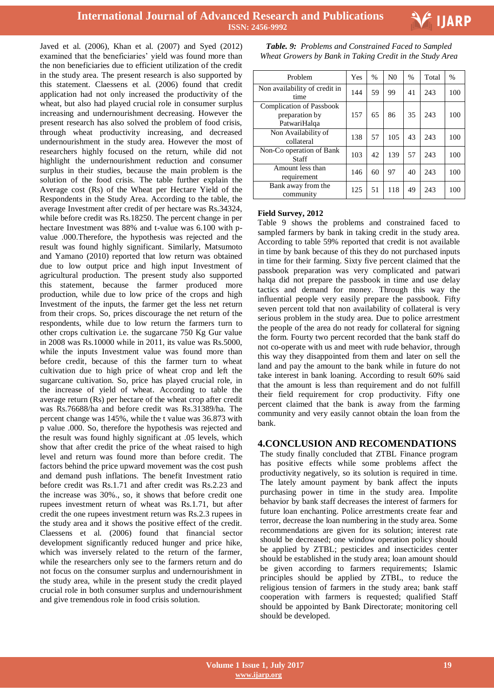



Javed et al. (2006), Khan et al. (2007) and Syed (2012) examined that the beneficiaries' yield was found more than the non beneficiaries due to efficient utilization of the credit in the study area. The present research is also supported by this statement. Claessens et al. (2006) found that credit application had not only increased the productivity of the wheat, but also had played crucial role in consumer surplus increasing and undernourishment decreasing. However the present research has also solved the problem of food crisis, through wheat productivity increasing, and decreased undernourishment in the study area. However the most of researchers highly focused on the return, while did not highlight the undernourishment reduction and consumer surplus in their studies, because the main problem is the solution of the food crisis. The table further explain the Average cost (Rs) of the Wheat per Hectare Yield of the Respondents in the Study Area. According to the table, the average Investment after credit of per hectare was Rs.34324, while before credit was Rs.18250. The percent change in per hectare Investment was 88% and t-value was 6.100 with pvalue .000.Therefore, the hypothesis was rejected and the result was found highly significant. Similarly, Matsumoto and Yamano (2010) reported that low return was obtained due to low output price and high input Investment of agricultural production. The present study also supported this statement, because the farmer produced more production, while due to low price of the crops and high Investment of the inputs, the farmer get the less net return from their crops. So, prices discourage the net return of the respondents, while due to low return the farmers turn to other crops cultivation i.e. the sugarcane 750 Kg Gur value in 2008 was Rs.10000 while in 2011, its value was Rs.5000, while the inputs Investment value was found more than before credit, because of this the farmer turn to wheat cultivation due to high price of wheat crop and left the sugarcane cultivation. So, price has played crucial role, in the increase of yield of wheat. According to table the average return (Rs) per hectare of the wheat crop after credit was Rs.76688/ha and before credit was Rs.31389/ha. The percent change was 145%, while the t value was 36.873 with p value .000. So, therefore the hypothesis was rejected and the result was found highly significant at .05 levels, which show that after credit the price of the wheat raised to high level and return was found more than before credit. The factors behind the price upward movement was the cost push and demand push inflations. The benefit Investment ratio before credit was Rs.1.71 and after credit was Rs.2.23 and the increase was 30%., so, it shows that before credit one rupees investment return of wheat was Rs.1.71, but after credit the one rupees investment return was Rs.2.3 rupees in the study area and it shows the positive effect of the credit. Claessens et al. (2006) found that financial sector development significantly reduced hunger and price hike, which was inversely related to the return of the farmer, while the researchers only see to the farmers return and do not focus on the consumer surplus and undernourishment in the study area, while in the present study the credit played crucial role in both consumer surplus and undernourishment and give tremendous role in food crisis solution.

 *Table. 9: Problems and Constrained Faced to Sampled Wheat Growers by Bank in Taking Credit in the Study Area*

| Problem                                                           | Yes | $\frac{0}{0}$ | N <sub>0</sub> | $\frac{0}{0}$ | Total | $\frac{0}{0}$ |
|-------------------------------------------------------------------|-----|---------------|----------------|---------------|-------|---------------|
| Non availability of credit in<br>time                             | 144 | 59            | 99             | 41            | 243   | 100           |
| <b>Complication of Passbook</b><br>preparation by<br>PatwariHalqa | 157 | 65            | 86             | 35            | 243   | 100           |
| Non Availability of<br>collateral                                 | 138 | 57            | 105            | 43            | 243   | 100           |
| Non-Co operation of Bank<br>Staff                                 | 103 | 42            | 139            | 57            | 243   | 100           |
| Amount less than<br>requirement                                   | 146 | 60            | 97             | 40            | 243   | 100           |
| Bank away from the<br>community                                   | 125 | 51            | 118            | 49            | 243   | 100           |

#### **Field Survey, 2012**

Table 9 shows the problems and constrained faced to sampled farmers by bank in taking credit in the study area. According to table 59% reported that credit is not available in time by bank because of this they do not purchased inputs in time for their farming. Sixty five percent claimed that the passbook preparation was very complicated and patwari halqa did not prepare the passbook in time and use delay tactics and demand for money. Through this way the influential people very easily prepare the passbook. Fifty seven percent told that non availability of collateral is very serious problem in the study area. Due to police arrestment the people of the area do not ready for collateral for signing the form. Fourty two percent recorded that the bank staff do not co-operate with us and meet with rude behavior, through this way they disappointed from them and later on sell the land and pay the amount to the bank while in future do not take interest in bank loaning. According to result 60% said that the amount is less than requirement and do not fulfill their field requirement for crop productivity. Fifty one percent claimed that the bank is away from the farming community and very easily cannot obtain the loan from the bank.

#### **4.CONCLUSION AND RECOMENDATIONS**

The study finally concluded that ZTBL Finance program has positive effects while some problems affect the productivity negatively, so its solution is required in time. The lately amount payment by bank affect the inputs purchasing power in time in the study area. Impolite behavior by bank staff decreases the interest of farmers for future loan enchanting. Police arrestments create fear and terror, decrease the loan numbering in the study area. Some recommendations are given for its solution; interest rate should be decreased; one window operation policy should be applied by ZTBL; pesticides and insecticides center should be established in the study area; loan amount should be given according to farmers requirements; Islamic principles should be applied by ZTBL, to reduce the religious tension of farmers in the study area; bank staff cooperation with farmers is requested; qualified Staff should be appointed by Bank Directorate; monitoring cell should be developed.